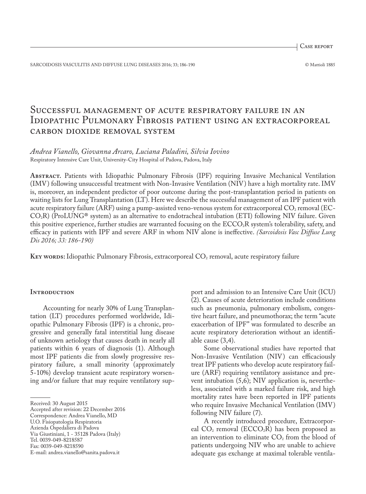Case report

SARCOIDOSIS VASCULITIS AND DIFFUSE LUNG DISEASES 2016; 33; 186-190 © Mattioli 1885

# Successful management of acute respiratory failure in an IDIOPATHIC PULMONARY FIBROSIS PATIENT USING AN EXTRACORPOREAL carbon dioxide removal system

# *Andrea Vianello, Giovanna Arcaro, Luciana Paladini, Silvia Iovino* Respiratory Intensive Care Unit, University-City Hospital of Padova, Padova, Italy

**Abstract.** Patients with Idiopathic Pulmonary Fibrosis (IPF) requiring Invasive Mechanical Ventilation (IMV) following unsuccessful treatment with Non-Invasive Ventilation (NIV) have a high mortality rate. IMV is, moreover, an independent predictor of poor outcome during the post-transplantation period in patients on waiting lists for Lung Transplantation (LT). Here we describe the successful management of an IPF patient with acute respiratory failure (ARF) using a pump-assisted veno-venous system for extracorporeal  $CO_2$  removal (EC- $CO<sub>2</sub>R$ ) (ProLUNG<sup>®</sup> system) as an alternative to endotracheal intubation (ETI) following NIV failure. Given this positive experience, further studies are warranted focusing on the ECCO<sub>2</sub>R system's tolerability, safety, and efficacy in patients with IPF and severe ARF in whom NIV alone is ineffective. *(Sarcoidosis Vasc Diffuse Lung Dis 2016; 33: 186-190)*

**KEY WORDS:** Idiopathic Pulmonary Fibrosis, extracorporeal CO<sub>2</sub> removal, acute respiratory failure

## **INTRODUCTION**

Accounting for nearly 30% of Lung Transplantation (LT) procedures performed worldwide, Idiopathic Pulmonary Fibrosis (IPF) is a chronic, progressive and generally fatal interstitial lung disease of unknown aetiology that causes death in nearly all patients within 6 years of diagnosis (1). Although most IPF patients die from slowly progressive respiratory failure, a small minority (approximately 5-10%) develop transient acute respiratory worsening and/or failure that may require ventilatory sup-

port and admission to an Intensive Care Unit (ICU) (2). Causes of acute deterioration include conditions such as pneumonia, pulmonary embolism, congestive heart failure, and pneumothorax; the term "acute exacerbation of IPF" was formulated to describe an acute respiratory deterioration without an identifiable cause (3,4).

Some observational studies have reported that Non-Invasive Ventilation (NIV) can efficaciously treat IPF patients who develop acute respiratory failure (ARF) requiring ventilatory assistance and prevent intubation (5,6); NIV application is, nevertheless, associated with a marked failure risk, and high mortality rates have been reported in IPF patients who require Invasive Mechanical Ventilation (IMV) following NIV failure (7).

A recently introduced procedure, Extracorporeal  $CO<sub>2</sub>$  removal (ECCO<sub>2</sub>R) has been proposed as an intervention to eliminate  $CO<sub>2</sub>$  from the blood of patients undergoing NIV who are unable to achieve adequate gas exchange at maximal tolerable ventila-

Received: 30 August 2015

Accepted after revision: 22 December 2016

Correspondence: Andrea Vianello, MD

U.O. Fisiopatologia Respiratoria Azienda Ospedaliera di Padova

Via Giustiniani, 1 - 35128 Padova (Italy)

Tel. 0039-049-8218587

Fax: 0039-049-8218590

E-mail: andrea.vianello@sanita.padova.it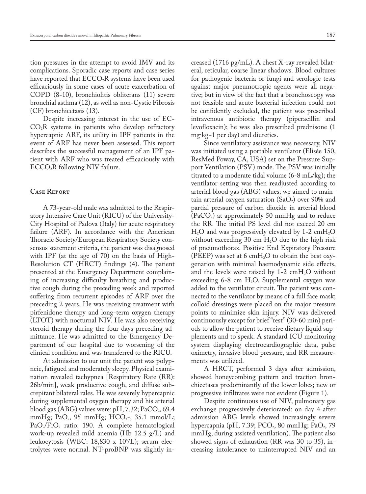tion pressures in the attempt to avoid IMV and its complications. Sporadic case reports and case series have reported that  $ECCO<sub>2</sub>R$  systems have been used efficaciously in some cases of acute exacerbation of COPD (8-10), bronchiolitis obliterans (11) severe bronchial asthma (12), as well as non-Cystic Fibrosis (CF) bronchiectasis (13).

Despite increasing interest in the use of EC- $CO<sub>2</sub>R$  systems in patients who develop refractory hypercapnic ARF, its utility in IPF patients in the event of ARF has never been assessed. This report describes the successful management of an IPF patient with ARF who was treated efficaciously with ECCO2R following NIV failure.

## **Case Report**

A 73-year-old male was admitted to the Respiratory Intensive Care Unit (RICU) of the University-City Hospital of Padova (Italy) for acute respiratory failure (ARF). In accordance with the American Thoracic Society/European Respiratory Society consensus statement criteria, the patient was disagnosed with IPF (at the age of 70) on the basis of High-Resolution CT (HRCT) findings (4). The patient presented at the Emergency Department complaining of increasing difficulty breathing and productive cough during the preceding week and reported suffering from recurrent episodes of ARF over the preceding 2 years. He was receiving treatment with pirfenidone therapy and long-term oxygen therapy (LTOT) with nocturnal NIV. He was also receiving steroid therapy during the four days preceding admittance. He was admitted to the Emergency Department of our hospital due to worsening of the clinical condition and was transferred to the RICU.

At admission to our unit the patient was polypneic, fatigued and moderately sleepy. Physical examination revealed tachypnea [Respiratory Rate (RR): 26b/min], weak productive cough, and diffuse subcrepitant bilateral rales. He was severely hypercapnic during supplemental oxygen therapy and his arterial blood gas (ABG) values were:  $pH$ , 7.32; PaCO<sub>2</sub>, 69.4 mmHg; PaO<sub>2</sub>, 95 mmHg; HCO<sub>3</sub>-, 35.1 mmol/L; PaO<sub>2</sub>/FiO<sub>2</sub> ratio: 190. A complete hematological work-up revealed mild anemia (Hb 12.5 g/L) and leukocytosis (WBC: 18,830 x 10º/L); serum electrolytes were normal. NT-proBNP was slightly in-

creased (1716 pg/mL). A chest X-ray revealed bilateral, reticular, coarse linear shadows. Blood cultures for pathogenic bacteria or fungi and serologic tests against major pneumotropic agents were all negative; but in view of the fact that a bronchoscopy was not feasible and acute bacterial infection could not be confidently excluded, the patient was prescribed intravenous antibiotic therapy (piperacillin and levofloxacin); he was also prescribed prednisone (1 mg·kg−1 per day) and diuretics.

Since ventilatory assistance was necessary, NIV was initiated using a portable ventilator (Elisée 150, ResMed Poway, CA, USA) set on the Pressure Support Ventilation (PSV) mode. The PSV was initially titrated to a moderate tidal volume (6-8 mL/kg); the ventilator setting was then readjusted according to arterial blood gas (ABG) values; we aimed to maintain arterial oxygen saturation (SaO<sub>2</sub>) over 90% and partial pressure of carbon dioxide in arterial blood  $(PaCO<sub>2</sub>)$  at approximately 50 mmHg and to reduce the RR. The initial PS level did not exceed 20 cm  $H<sub>2</sub>O$  and was progressively elevated by 1-2 cm $H<sub>2</sub>O$ without exceeding 30 cm  $H_2O$  due to the high risk of pneumothorax. Positive End Expiratory Pressure (PEEP) was set at 6 cmH<sub>2</sub>O to obtain the best oxygenation with minimal haemodynamic side effects, and the levels were raised by  $1-2$  cmH<sub>2</sub>O without exceeding 6-8 cm  $H_2O$ . Supplemental oxygen was added to the ventilator circuit. The patient was connected to the ventilator by means of a full face mask; colloid dressings were placed on the major pressure points to minimize skin injury. NIV was delivered continuously except for brief "rest" (30-60 min) periods to allow the patient to receive dietary liquid supplements and to speak. A standard ICU monitoring system displaying electrocardiographic data, pulse oximetry, invasive blood pressure, and RR measurements was utilized.

A HRCT, performed 3 days after admission, showed honeycombing pattern and traction bronchiectases predominantly of the lower lobes; new or progressive infiltrates were not evident (Figure 1).

Despite continuous use of NIV, pulmonary gas exchange progressively deteriorated: on day 4 after admission ABG levels showed increasingly severe hypercapnia (pH, 7.39; PCO<sub>2</sub>, 80 mmHg; PaO<sub>2</sub>, 79 mmHg, during assisted ventilation). The patient also showed signs of exhaustion (RR was 30 to 35), increasing intolerance to uninterrupted NIV and an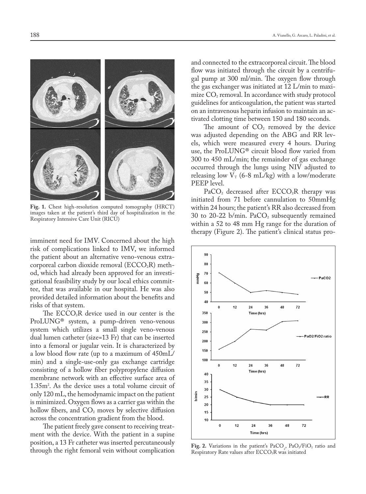

**Fig. 1.** Chest high-resolution computed tomography (HRCT) images taken at the patient's third day of hospitalization in the Respiratory Intensive Care Unit (RICU)

imminent need for IMV. Concerned about the high risk of complications linked to IMV, we informed the patient about an alternative veno-venous extracorporeal carbon dioxide removal  $(ECCO<sub>2</sub>R)$  method, which had already been approved for an investigational feasibility study by our local ethics committee, that was available in our hospital. He was also provided detailed information about the benefits and risks of that system.

The  $ECCO<sub>2</sub>R$  device used in our center is the ProLUNG® system, a pump-driven veno-venous system which utilizes a small single veno-venous dual lumen catheter (size=13 Fr) that can be inserted into a femoral or jugular vein. It is characterized by a low blood flow rate (up to a maximum of 450mL/ min) and a single-use-only gas exchange cartridge consisting of a hollow fiber polypropylene diffusion membrane network with an effective surface area of 1.35m2 . As the device uses a total volume circuit of only 120 mL, the hemodynamic impact on the patient is minimized. Oxygen flows as a carrier gas within the hollow fibers, and  $CO<sub>2</sub>$  moves by selective diffusion across the concentration gradient from the blood.

The patient freely gave consent to receiving treatment with the device. With the patient in a supine position, a 13 Fr catheter was inserted percutaneously through the right femoral vein without complication

and connected to the extracorporeal circuit. The blood flow was initiated through the circuit by a centrifugal pump at 300 ml/min. The oxygen flow through the gas exchanger was initiated at 12 L/min to maximize  $CO<sub>2</sub>$  removal. In accordance with study protocol guidelines for anticoagulation, the patient was started on an intravenous heparin infusion to maintain an activated clotting time between 150 and 180 seconds.

The amount of  $CO<sub>2</sub>$  removed by the device was adjusted depending on the ABG and RR levels, which were measured every 4 hours. During use, the ProLUNG® circuit blood flow varied from 300 to 450 mL/min; the remainder of gas exchange occurred through the lungs using NIV adjusted to releasing low  $V_T$  (6-8 mL/kg) with a low/moderate PEEP level.

 $PaCO<sub>2</sub>$  decreased after  $ECCO<sub>2</sub>R$  therapy was initiated from 71 before cannulation to 50mmHg within 24 hours; the patient's RR also decreased from 30 to 20-22 b/min.  $PaCO<sub>2</sub>$  subsequently remained within a 52 to 48 mm Hg range for the duration of therapy (Figure 2). The patient's clinical status pro-



**Fig. 2.** Variations in the patient's  $PaCO_2$ ,  $PaO_2/FiO_2$  ratio and Respiratory Rate values after ECCO<sub>2</sub>R was initiated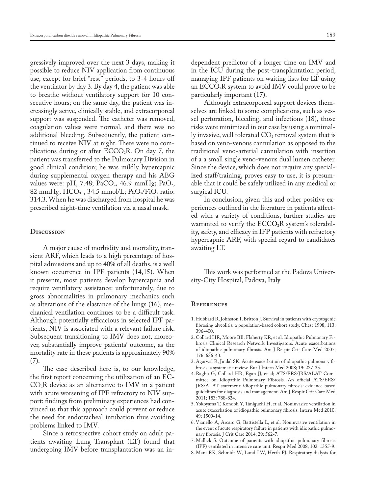gressively improved over the next 3 days, making it possible to reduce NIV application from continuous use, except for brief "rest" periods, to 3-4 hours off the ventilator by day 3. By day 4, the patient was able to breathe without ventilatory support for 10 consecutive hours; on the same day, the patient was increasingly active, clinically stable, and extracorporeal support was suspended. The catheter was removed, coagulation values were normal, and there was no additional bleeding. Subsequently, the patient continued to receive NIV at night. There were no complications during or after  $ECCO<sub>2</sub>R$ . On day 7, the patient was transferred to the Pulmonary Division in good clinical condition; he was mildly hypercapnic during supplemental oxygen therapy and his ABG values were: pH, 7.48;  $PaCO<sub>2</sub>$ , 46.9 mmHg;  $PaO<sub>2</sub>$ , 82 mmHg;  $HCO<sub>3</sub>$ -, 34.5 mmol/L; PaO<sub>2</sub>/FiO<sub>2</sub> ratio: 314.3. When he was discharged from hospital he was prescribed night-time ventilation via a nasal mask.

### **Discussion**

A major cause of morbidity and mortality, transient ARF, which leads to a high percentage of hospital admissions and up to 40% of all deaths, is a well known occurrence in IPF patients (14,15). When it presents, most patients develop hypercapnia and require ventilatory assistance: unfortunately, due to gross abnormalities in pulmonary mechanics such as alterations of the elastance of the lungs (16), mechanical ventilation continues to be a difficult task. Although potentially efficacious in selected IPF patients, NIV is associated with a relevant failure risk. Subsequent transitioning to IMV does not, moreover, substantially improve patients' outcome, as the mortality rate in these patients is approximately 90% (7).

The case described here is, to our knowledge, the first report concerning the utilization of an EC- $CO<sub>2</sub>R$  device as an alternative to IMV in a patient with acute worsening of IPF refractory to NIV support: findings from preliminary experiences had convinced us that this approach could prevent or reduce the need for endotracheal intubation thus avoiding problems linked to IMV.

Since a retrospective cohort study on adult patients awaiting Lung Transplant (LT) found that undergoing IMV before transplantation was an independent predictor of a longer time on IMV and in the ICU during the post-transplantation period, managing IPF patients on waiting lists for LT using an  $ECCO<sub>2</sub>R$  system to avoid IMV could prove to be particularly important (17).

Although extracorporeal support devices themselves are linked to some complications, such as vessel perforation, bleeding, and infections (18), those risks were minimized in our case by using a minimally invasive, well tolerated  $CO<sub>2</sub>$  removal system that is based on veno-venous cannulation as opposed to the traditional veno-arterial cannulation with insertion of a a small single veno-venous dual lumen catheter. Since the device, which does not require any specialized staff/training, proves easy to use, it is presumable that it could be safely utilized in any medical or surgical ICU.

In conclusion, given this and other positive experiences outlined in the literature in patients affected with a variety of conditions, further studies are warranted to verify the  $ECCO<sub>2</sub>R$  system's tolerability, safety, and efficacy in IFP patients with refractory hypercapnic ARF, with special regard to candidates awaiting LT.

This work was performed at the Padova University-City Hospital, Padova, Italy

### **References**

- 1. Hubbard R, Johnston I, Britton J. Survival in patients with cryptogenic fibrosing alveolitis: a population-based cohort study. Chest 1998; 113: 396-400.
- 2. Collard HR, Moore BB, Flaherty KR, et al. Idiopathic Pulmonary Fibrosis Clinical Research Network Investigators. Acute exacerbations of idiopathic pulmonary fibrosis. Am J Respir Crit Care Med 2007; 176: 636-43.
- 3. Agarwal R, Jindal SK. Acute exacerbation of idiopathic pulmonary fibrosis: a systematic review. Eur J Intern Med 2008; 19: 227-35.
- 4. Raghu G, Collard HR, Egan JJ, et al; ATS/ERS/JRS/ALAT Committee on Idiopathic Pulmonary Fibrosis. An official ATS/ERS/ JRS/ALAT statement: idiopathic pulmonary fibrosis: evidence-based guidelines for diagnosis and management. Am J Respir Crit Care Med 2011; 183: 788-824.
- 5. Yokoyama T, Kondoh Y, Taniguchi H, et al. Noninvasive ventilation in acute exacerbation of idiopathic pulmonary fibrosis. Intern Med 2010; 49: 1509-14.
- 6. Vianello A, Arcaro G, Battistella L, et al. Noninvasive ventilation in the event of acute respiratory failure in patients with idiopathic pulmonary fibrosis. J Crit Care 2014; 29: 562-7.
- 7. Mallick S. Outcome of patients with idiopathic pulmonary fibrosis (IPF) ventilated in intensive care unit. Respir Med 2008; 102: 1355-9.
- 8. Mani RK, Schmidt W, Lund LW, Herth FJ. Respiratory dialysis for